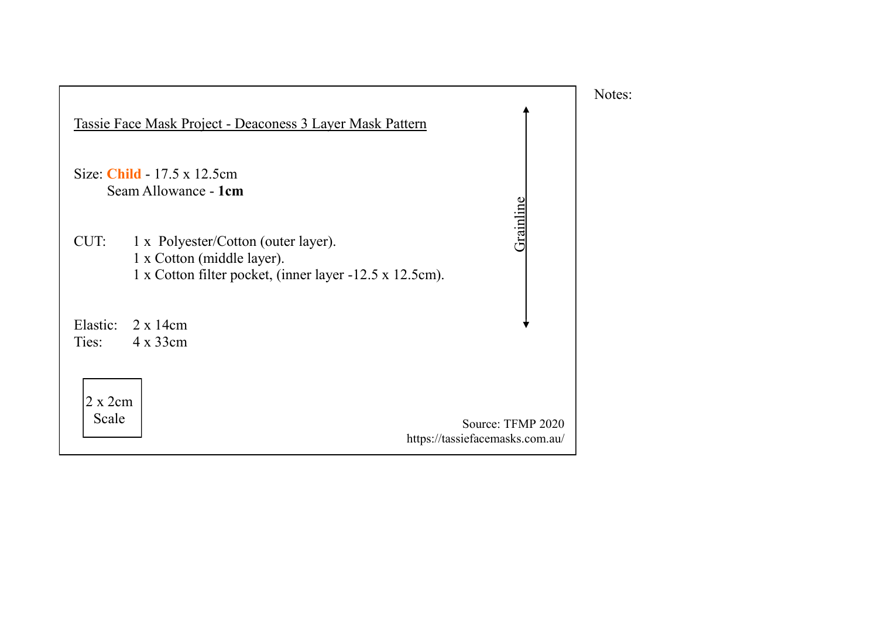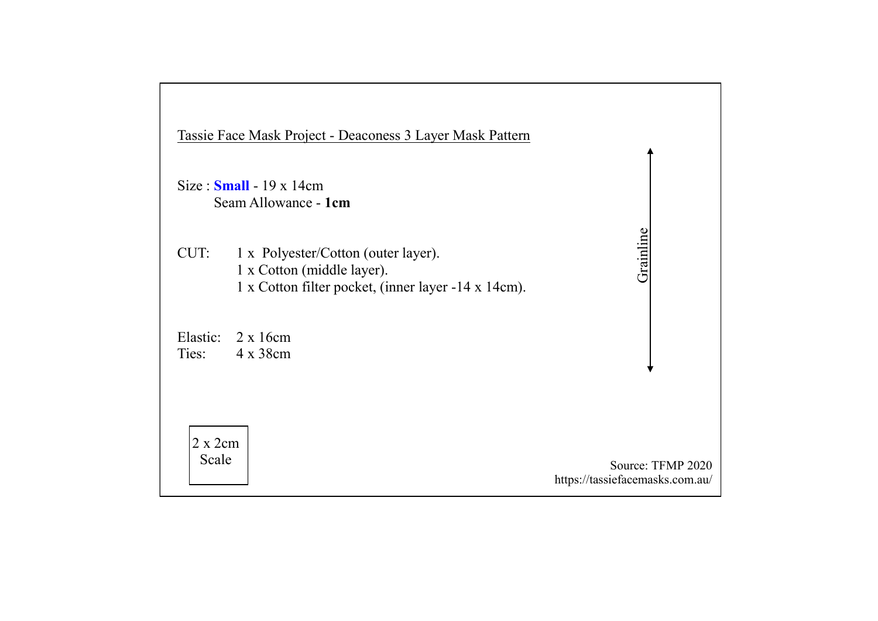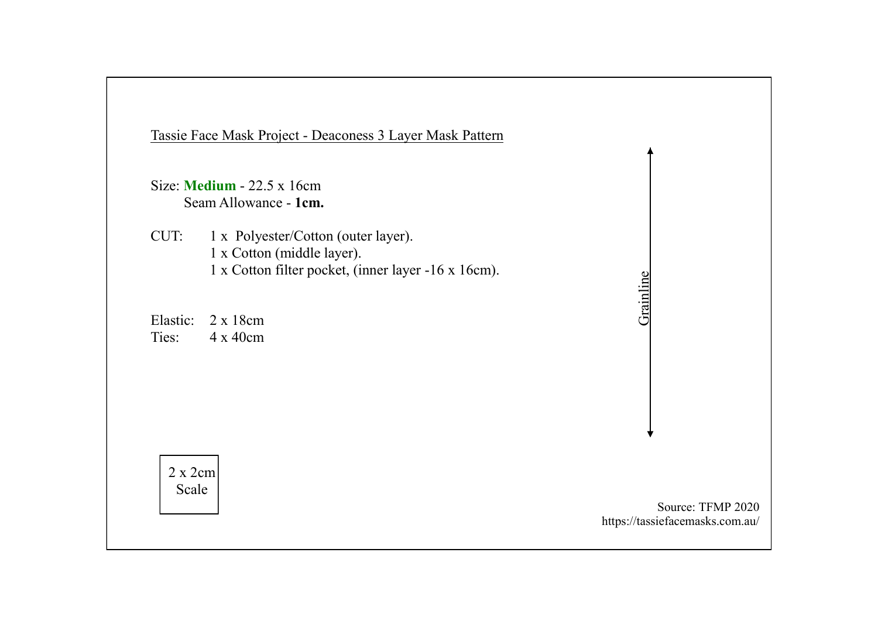